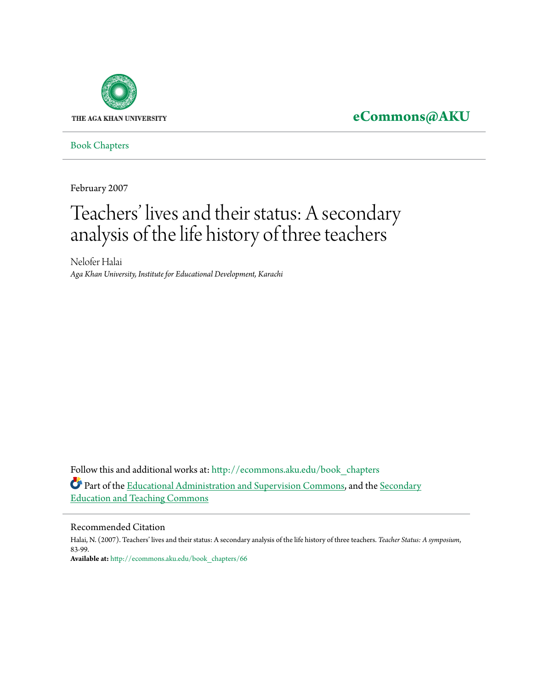

# **[eCommons@AKU](http://ecommons.aku.edu?utm_source=ecommons.aku.edu%2Fbook_chapters%2F66&utm_medium=PDF&utm_campaign=PDFCoverPages)**

[Book Chapters](http://ecommons.aku.edu/book_chapters?utm_source=ecommons.aku.edu%2Fbook_chapters%2F66&utm_medium=PDF&utm_campaign=PDFCoverPages)

February 2007

# Teachers' lives and their status: A secondary analysis of the life history of three teachers

Nelofer Halai *Aga Khan University, Institute for Educational Development, Karachi*

Follow this and additional works at: [http://ecommons.aku.edu/book\\_chapters](http://ecommons.aku.edu/book_chapters?utm_source=ecommons.aku.edu%2Fbook_chapters%2F66&utm_medium=PDF&utm_campaign=PDFCoverPages) Part of the [Educational Administration and Supervision Commons,](http://network.bepress.com/hgg/discipline/787?utm_source=ecommons.aku.edu%2Fbook_chapters%2F66&utm_medium=PDF&utm_campaign=PDFCoverPages) and the [Secondary](http://network.bepress.com/hgg/discipline/809?utm_source=ecommons.aku.edu%2Fbook_chapters%2F66&utm_medium=PDF&utm_campaign=PDFCoverPages) [Education and Teaching Commons](http://network.bepress.com/hgg/discipline/809?utm_source=ecommons.aku.edu%2Fbook_chapters%2F66&utm_medium=PDF&utm_campaign=PDFCoverPages)

#### Recommended Citation

Halai, N. (2007). Teachers' lives and their status: A secondary analysis of the life history of three teachers. *Teacher Status: A symposium*, 83-99. **Available at:** [http://ecommons.aku.edu/book\\_chapters/66](http://ecommons.aku.edu/book_chapters/66)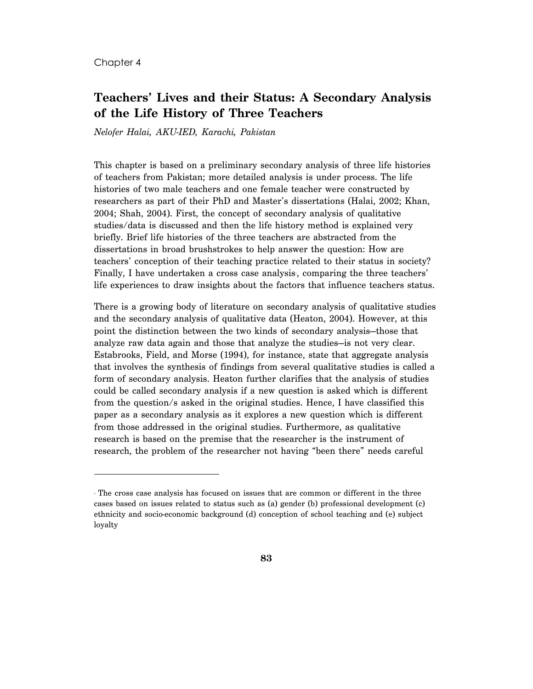#### Chapter 4

 $\overline{a}$ 

## **Teachers' Lives and their Status: A Secondary Analysis of the Life History of Three Teachers**

*Nelofer Halai, AKU-IED, Karachi, Pakistan* 

This chapter is based on a preliminary secondary analysis of three life histories of teachers from Pakistan; more detailed analysis is under process. The life histories of two male teachers and one female teacher were constructed by researchers as part of their PhD and Master's dissertations (Halai, 2002; Khan, 2004; Shah, 2004). First, the concept of secondary analysis of qualitative studies/data is discussed and then the life history method is explained very briefly. Brief life histories of the three teachers are abstracted from the dissertations in broad brushstrokes to help answer the question: How are teachers' conception of their teaching practice related to their status in society? Finally, I have undertaken a cross case analysis, comparing the three teachers' life experiences to draw insights about the factors that influence teachers status.

There is a growing body of literature on secondary analysis of qualitative studies and the secondary analysis of qualitative data (Heaton, 2004). However, at this point the distinction between the two kinds of secondary analysis—those that analyze raw data again and those that analyze the studies—is not very clear. Estabrooks, Field, and Morse (1994), for instance, state that aggregate analysis that involves the synthesis of findings from several qualitative studies is called a form of secondary analysis. Heaton further clarifies that the analysis of studies could be called secondary analysis if a new question is asked which is different from the question/s asked in the original studies. Hence, I have classified this paper as a secondary analysis as it explores a new question which is different from those addressed in the original studies. Furthermore, as qualitative research is based on the premise that the researcher is the instrument of research, the problem of the researcher not having "been there" needs careful

<sup>1</sup> The cross case analysis has focused on issues that are common or different in the three cases based on issues related to status such as (a) gender (b) professional development (c) ethnicity and socio-economic background (d) conception of school teaching and (e) subject loyalty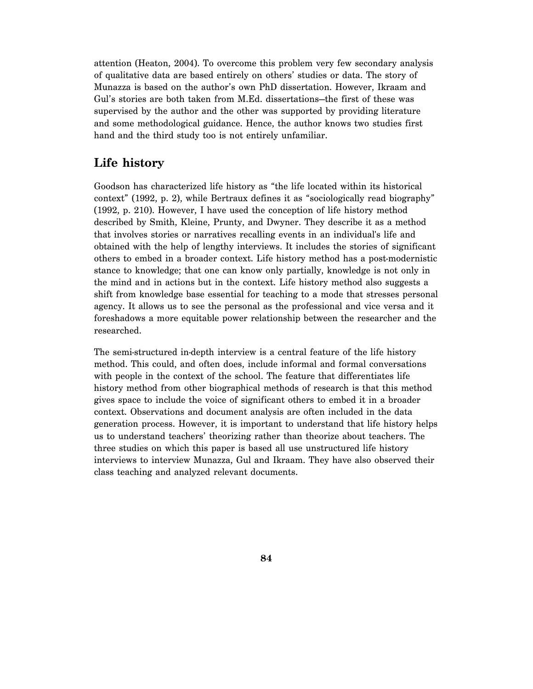attention (Heaton, 2004). To overcome this problem very few secondary analysis of qualitative data are based entirely on others' studies or data. The story of Munazza is based on the author's own PhD dissertation. However, Ikraam and Gul's stories are both taken from M.Ed. dissertations—the first of these was supervised by the author and the other was supported by providing literature and some methodological guidance. Hence, the author knows two studies first hand and the third study too is not entirely unfamiliar.

## **Life history**

Goodson has characterized life history as "the life located within its historical context" (1992, p. 2), while Bertraux defines it as "sociologically read biography" (1992, p. 210). However, I have used the conception of life history method described by Smith, Kleine, Prunty, and Dwyner. They describe it as a method that involves stories or narratives recalling events in an individual's life and obtained with the help of lengthy interviews. It includes the stories of significant others to embed in a broader context. Life history method has a post-modernistic stance to knowledge; that one can know only partially, knowledge is not only in the mind and in actions but in the context. Life history method also suggests a shift from knowledge base essential for teaching to a mode that stresses personal agency. It allows us to see the personal as the professional and vice versa and it foreshadows a more equitable power relationship between the researcher and the researched.

The semi-structured in-depth interview is a central feature of the life history method. This could, and often does, include informal and formal conversations with people in the context of the school. The feature that differentiates life history method from other biographical methods of research is that this method gives space to include the voice of significant others to embed it in a broader context. Observations and document analysis are often included in the data generation process. However, it is important to understand that life history helps us to understand teachers' theorizing rather than theorize about teachers. The three studies on which this paper is based all use unstructured life history interviews to interview Munazza, Gul and Ikraam. They have also observed their class teaching and analyzed relevant documents.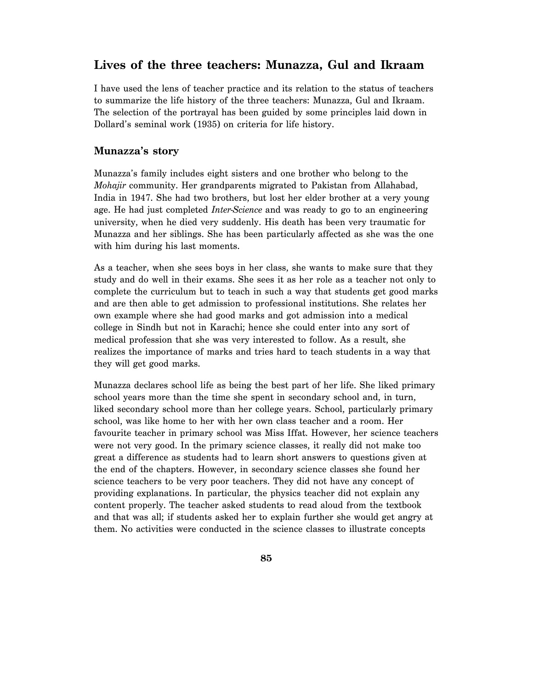## **Lives of the three teachers: Munazza, Gul and Ikraam**

I have used the lens of teacher practice and its relation to the status of teachers to summarize the life history of the three teachers: Munazza, Gul and Ikraam. The selection of the portrayal has been guided by some principles laid down in Dollard's seminal work (1935) on criteria for life history.

#### **Munazza's story**

Munazza's family includes eight sisters and one brother who belong to the *Mohajir* community. Her grandparents migrated to Pakistan from Allahabad, India in 1947. She had two brothers, but lost her elder brother at a very young age. He had just completed *Inter-Science* and was ready to go to an engineering university, when he died very suddenly. His death has been very traumatic for Munazza and her siblings. She has been particularly affected as she was the one with him during his last moments.

As a teacher, when she sees boys in her class, she wants to make sure that they study and do well in their exams. She sees it as her role as a teacher not only to complete the curriculum but to teach in such a way that students get good marks and are then able to get admission to professional institutions. She relates her own example where she had good marks and got admission into a medical college in Sindh but not in Karachi; hence she could enter into any sort of medical profession that she was very interested to follow. As a result, she realizes the importance of marks and tries hard to teach students in a way that they will get good marks.

Munazza declares school life as being the best part of her life. She liked primary school years more than the time she spent in secondary school and, in turn, liked secondary school more than her college years. School, particularly primary school, was like home to her with her own class teacher and a room. Her favourite teacher in primary school was Miss Iffat. However, her science teachers were not very good. In the primary science classes, it really did not make too great a difference as students had to learn short answers to questions given at the end of the chapters. However, in secondary science classes she found her science teachers to be very poor teachers. They did not have any concept of providing explanations. In particular, the physics teacher did not explain any content properly. The teacher asked students to read aloud from the textbook and that was all; if students asked her to explain further she would get angry at them. No activities were conducted in the science classes to illustrate concepts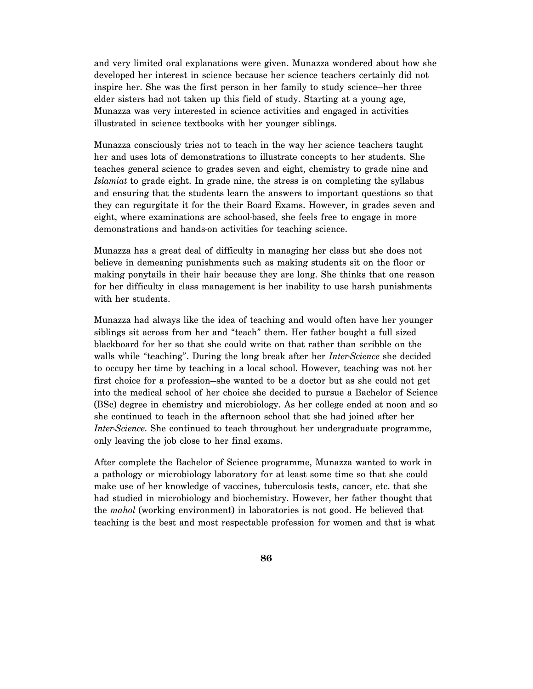and very limited oral explanations were given. Munazza wondered about how she developed her interest in science because her science teachers certainly did not inspire her. She was the first person in her family to study science—her three elder sisters had not taken up this field of study. Starting at a young age, Munazza was very interested in science activities and engaged in activities illustrated in science textbooks with her younger siblings.

Munazza consciously tries not to teach in the way her science teachers taught her and uses lots of demonstrations to illustrate concepts to her students. She teaches general science to grades seven and eight, chemistry to grade nine and *Islamiat* to grade eight. In grade nine, the stress is on completing the syllabus and ensuring that the students learn the answers to important questions so that they can regurgitate it for the their Board Exams. However, in grades seven and eight, where examinations are school-based, she feels free to engage in more demonstrations and hands-on activities for teaching science.

Munazza has a great deal of difficulty in managing her class but she does not believe in demeaning punishments such as making students sit on the floor or making ponytails in their hair because they are long. She thinks that one reason for her difficulty in class management is her inability to use harsh punishments with her students.

Munazza had always like the idea of teaching and would often have her younger siblings sit across from her and "teach" them. Her father bought a full sized blackboard for her so that she could write on that rather than scribble on the walls while "teaching". During the long break after her *Inter-Science* she decided to occupy her time by teaching in a local school. However, teaching was not her first choice for a profession—she wanted to be a doctor but as she could not get into the medical school of her choice she decided to pursue a Bachelor of Science (BSc) degree in chemistry and microbiology. As her college ended at noon and so she continued to teach in the afternoon school that she had joined after her *Inter-Science*. She continued to teach throughout her undergraduate programme, only leaving the job close to her final exams.

After complete the Bachelor of Science programme, Munazza wanted to work in a pathology or microbiology laboratory for at least some time so that she could make use of her knowledge of vaccines, tuberculosis tests, cancer, etc. that she had studied in microbiology and biochemistry. However, her father thought that the *mahol* (working environment) in laboratories is not good. He believed that teaching is the best and most respectable profession for women and that is what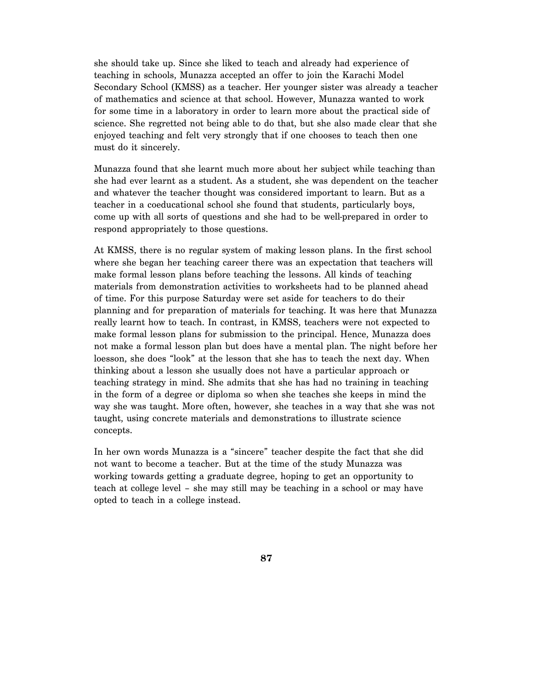she should take up. Since she liked to teach and already had experience of teaching in schools, Munazza accepted an offer to join the Karachi Model Secondary School (KMSS) as a teacher. Her younger sister was already a teacher of mathematics and science at that school. However, Munazza wanted to work for some time in a laboratory in order to learn more about the practical side of science. She regretted not being able to do that, but she also made clear that she enjoyed teaching and felt very strongly that if one chooses to teach then one must do it sincerely.

Munazza found that she learnt much more about her subject while teaching than she had ever learnt as a student. As a student, she was dependent on the teacher and whatever the teacher thought was considered important to learn. But as a teacher in a coeducational school she found that students, particularly boys, come up with all sorts of questions and she had to be well-prepared in order to respond appropriately to those questions.

At KMSS, there is no regular system of making lesson plans. In the first school where she began her teaching career there was an expectation that teachers will make formal lesson plans before teaching the lessons. All kinds of teaching materials from demonstration activities to worksheets had to be planned ahead of time. For this purpose Saturday were set aside for teachers to do their planning and for preparation of materials for teaching. It was here that Munazza really learnt how to teach. In contrast, in KMSS, teachers were not expected to make formal lesson plans for submission to the principal. Hence, Munazza does not make a formal lesson plan but does have a mental plan. The night before her loesson, she does "look" at the lesson that she has to teach the next day. When thinking about a lesson she usually does not have a particular approach or teaching strategy in mind. She admits that she has had no training in teaching in the form of a degree or diploma so when she teaches she keeps in mind the way she was taught. More often, however, she teaches in a way that she was not taught, using concrete materials and demonstrations to illustrate science concepts.

In her own words Munazza is a "sincere" teacher despite the fact that she did not want to become a teacher. But at the time of the study Munazza was working towards getting a graduate degree, hoping to get an opportunity to teach at college level – she may still may be teaching in a school or may have opted to teach in a college instead.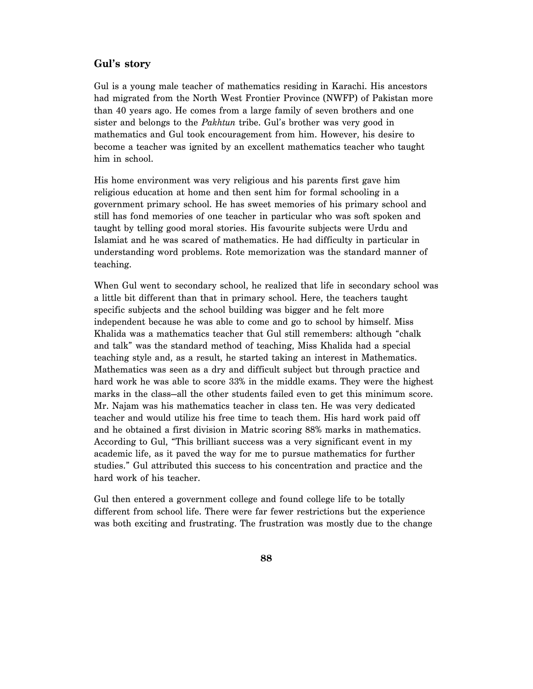### **Gul's story**

Gul is a young male teacher of mathematics residing in Karachi. His ancestors had migrated from the North West Frontier Province (NWFP) of Pakistan more than 40 years ago. He comes from a large family of seven brothers and one sister and belongs to the *Pakhtun* tribe. Gul's brother was very good in mathematics and Gul took encouragement from him. However, his desire to become a teacher was ignited by an excellent mathematics teacher who taught him in school.

His home environment was very religious and his parents first gave him religious education at home and then sent him for formal schooling in a government primary school. He has sweet memories of his primary school and still has fond memories of one teacher in particular who was soft spoken and taught by telling good moral stories. His favourite subjects were Urdu and Islamiat and he was scared of mathematics. He had difficulty in particular in understanding word problems. Rote memorization was the standard manner of teaching.

When Gul went to secondary school, he realized that life in secondary school was a little bit different than that in primary school. Here, the teachers taught specific subjects and the school building was bigger and he felt more independent because he was able to come and go to school by himself. Miss Khalida was a mathematics teacher that Gul still remembers: although "chalk and talk" was the standard method of teaching, Miss Khalida had a special teaching style and, as a result, he started taking an interest in Mathematics. Mathematics was seen as a dry and difficult subject but through practice and hard work he was able to score 33% in the middle exams. They were the highest marks in the class—all the other students failed even to get this minimum score. Mr. Najam was his mathematics teacher in class ten. He was very dedicated teacher and would utilize his free time to teach them. His hard work paid off and he obtained a first division in Matric scoring 88% marks in mathematics. According to Gul, "This brilliant success was a very significant event in my academic life, as it paved the way for me to pursue mathematics for further studies." Gul attributed this success to his concentration and practice and the hard work of his teacher.

Gul then entered a government college and found college life to be totally different from school life. There were far fewer restrictions but the experience was both exciting and frustrating. The frustration was mostly due to the change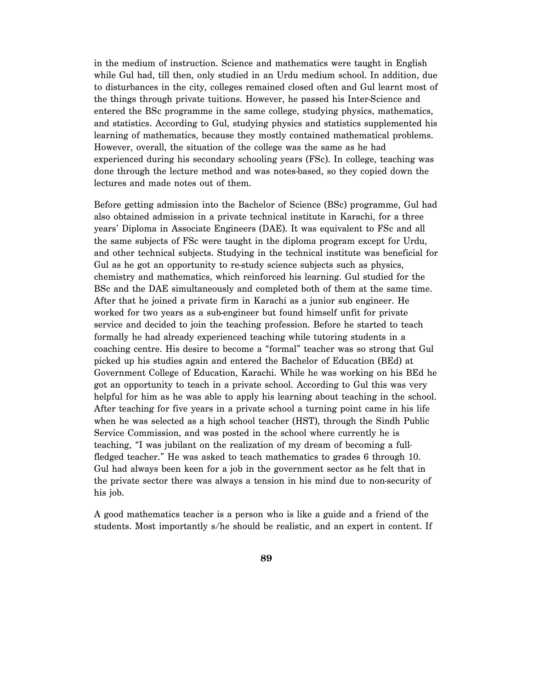in the medium of instruction. Science and mathematics were taught in English while Gul had, till then, only studied in an Urdu medium school. In addition, due to disturbances in the city, colleges remained closed often and Gul learnt most of the things through private tuitions. However, he passed his Inter-Science and entered the BSc programme in the same college, studying physics, mathematics, and statistics. According to Gul, studying physics and statistics supplemented his learning of mathematics, because they mostly contained mathematical problems. However, overall, the situation of the college was the same as he had experienced during his secondary schooling years (FSc). In college, teaching was done through the lecture method and was notes-based, so they copied down the lectures and made notes out of them.

Before getting admission into the Bachelor of Science (BSc) programme, Gul had also obtained admission in a private technical institute in Karachi, for a three years' Diploma in Associate Engineers (DAE). It was equivalent to FSc and all the same subjects of FSc were taught in the diploma program except for Urdu, and other technical subjects. Studying in the technical institute was beneficial for Gul as he got an opportunity to re-study science subjects such as physics, chemistry and mathematics, which reinforced his learning. Gul studied for the BSc and the DAE simultaneously and completed both of them at the same time. After that he joined a private firm in Karachi as a junior sub engineer. He worked for two years as a sub-engineer but found himself unfit for private service and decided to join the teaching profession. Before he started to teach formally he had already experienced teaching while tutoring students in a coaching centre. His desire to become a "formal" teacher was so strong that Gul picked up his studies again and entered the Bachelor of Education (BEd) at Government College of Education, Karachi. While he was working on his BEd he got an opportunity to teach in a private school. According to Gul this was very helpful for him as he was able to apply his learning about teaching in the school. After teaching for five years in a private school a turning point came in his life when he was selected as a high school teacher (HST), through the Sindh Public Service Commission, and was posted in the school where currently he is teaching, "I was jubilant on the realization of my dream of becoming a fullfledged teacher." He was asked to teach mathematics to grades 6 through 10. Gul had always been keen for a job in the government sector as he felt that in the private sector there was always a tension in his mind due to non-security of his job.

A good mathematics teacher is a person who is like a guide and a friend of the students. Most importantly s/he should be realistic, and an expert in content. If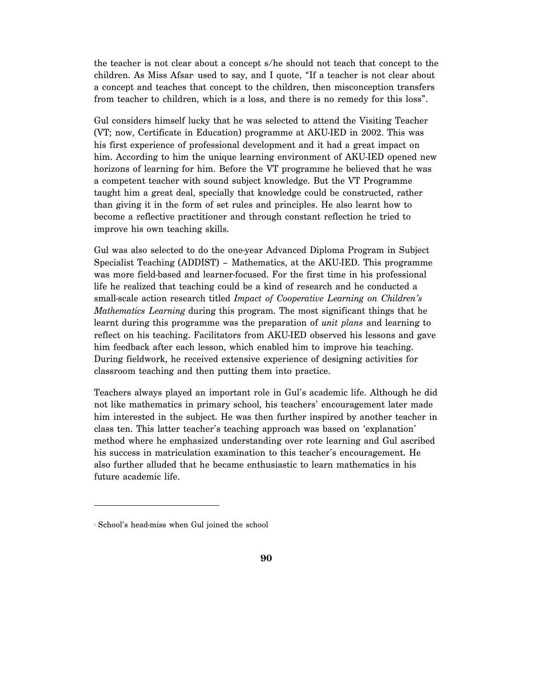the teacher is not clear about a concept s/he should not teach that concept to the children. As Miss Afsar used to say, and I quote, "If a teacher is not clear about a concept and teaches that concept to the children, then misconception transfers from teacher to children, which is a loss, and there is no remedy for this loss".

Gul considers himself lucky that he was selected to attend the Visiting Teacher (VT; now, Certificate in Education) programme at AKU-IED in 2002. This was his first experience of professional development and it had a great impact on him. According to him the unique learning environment of AKU-IED opened new horizons of learning for him. Before the VT programme he believed that he was a competent teacher with sound subject knowledge. But the VT Programme taught him a great deal, specially that knowledge could be constructed, rather than giving it in the form of set rules and principles. He also learnt how to become a reflective practitioner and through constant reflection he tried to improve his own teaching skills.

Gul was also selected to do the one-year Advanced Diploma Program in Subject Specialist Teaching (ADDIST) – Mathematics, at the AKU-IED. This programme was more field-based and learner-focused. For the first time in his professional life he realized that teaching could be a kind of research and he conducted a small-scale action research titled *Impact of Cooperative Learning on Children's Mathematics Learning* during this program. The most significant things that he learnt during this programme was the preparation of *unit plans* and learning to reflect on his teaching. Facilitators from AKU-IED observed his lessons and gave him feedback after each lesson, which enabled him to improve his teaching. During fieldwork, he received extensive experience of designing activities for classroom teaching and then putting them into practice.

Teachers always played an important role in Gul's academic life. Although he did not like mathematics in primary school, his teachers' encouragement later made him interested in the subject. He was then further inspired by another teacher in class ten. This latter teacher's teaching approach was based on 'explanation' method where he emphasized understanding over rote learning and Gul ascribed his success in matriculation examination to this teacher's encouragement. He also further alluded that he became enthusiastic to learn mathematics in his future academic life.

-

<sup>2</sup> School's head-miss when Gul joined the school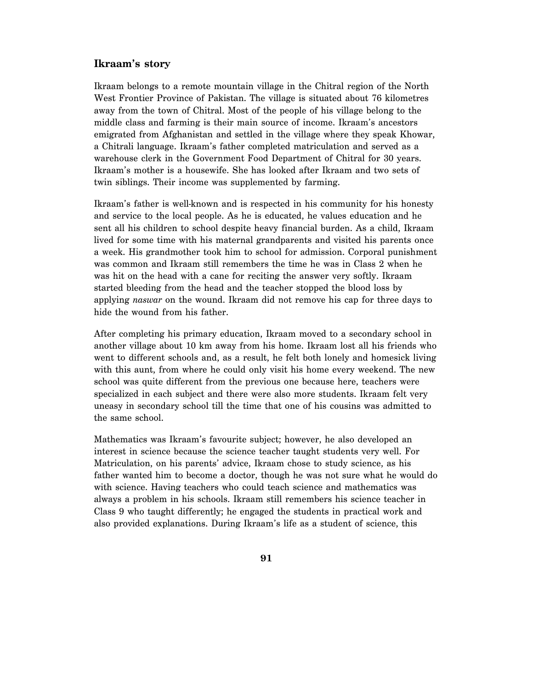#### **Ikraam's story**

Ikraam belongs to a remote mountain village in the Chitral region of the North West Frontier Province of Pakistan. The village is situated about 76 kilometres away from the town of Chitral. Most of the people of his village belong to the middle class and farming is their main source of income. Ikraam's ancestors emigrated from Afghanistan and settled in the village where they speak Khowar, a Chitrali language. Ikraam's father completed matriculation and served as a warehouse clerk in the Government Food Department of Chitral for 30 years. Ikraam's mother is a housewife. She has looked after Ikraam and two sets of twin siblings. Their income was supplemented by farming.

Ikraam's father is well-known and is respected in his community for his honesty and service to the local people. As he is educated, he values education and he sent all his children to school despite heavy financial burden. As a child, Ikraam lived for some time with his maternal grandparents and visited his parents once a week. His grandmother took him to school for admission. Corporal punishment was common and Ikraam still remembers the time he was in Class 2 when he was hit on the head with a cane for reciting the answer very softly. Ikraam started bleeding from the head and the teacher stopped the blood loss by applying *naswar* on the wound. Ikraam did not remove his cap for three days to hide the wound from his father.

After completing his primary education, Ikraam moved to a secondary school in another village about 10 km away from his home. Ikraam lost all his friends who went to different schools and, as a result, he felt both lonely and homesick living with this aunt, from where he could only visit his home every weekend. The new school was quite different from the previous one because here, teachers were specialized in each subject and there were also more students. Ikraam felt very uneasy in secondary school till the time that one of his cousins was admitted to the same school.

Mathematics was Ikraam's favourite subject; however, he also developed an interest in science because the science teacher taught students very well. For Matriculation, on his parents' advice, Ikraam chose to study science, as his father wanted him to become a doctor, though he was not sure what he would do with science. Having teachers who could teach science and mathematics was always a problem in his schools. Ikraam still remembers his science teacher in Class 9 who taught differently; he engaged the students in practical work and also provided explanations. During Ikraam's life as a student of science, this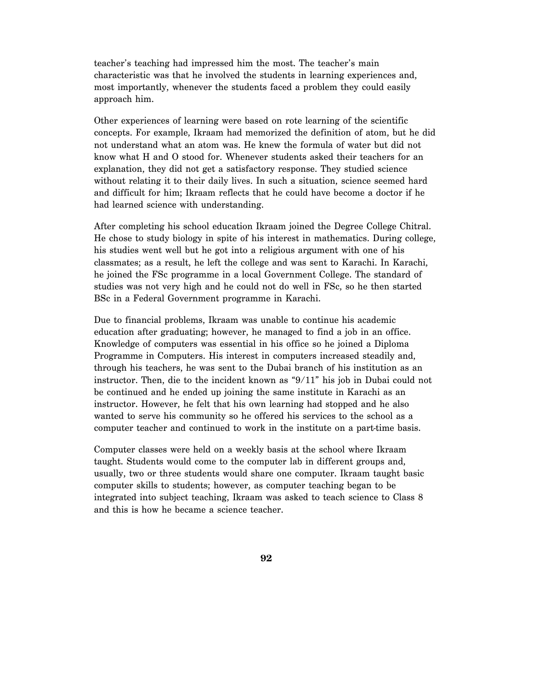teacher's teaching had impressed him the most. The teacher's main characteristic was that he involved the students in learning experiences and, most importantly, whenever the students faced a problem they could easily approach him.

Other experiences of learning were based on rote learning of the scientific concepts. For example, Ikraam had memorized the definition of atom, but he did not understand what an atom was. He knew the formula of water but did not know what H and O stood for. Whenever students asked their teachers for an explanation, they did not get a satisfactory response. They studied science without relating it to their daily lives. In such a situation, science seemed hard and difficult for him; Ikraam reflects that he could have become a doctor if he had learned science with understanding.

After completing his school education Ikraam joined the Degree College Chitral. He chose to study biology in spite of his interest in mathematics. During college, his studies went well but he got into a religious argument with one of his classmates; as a result, he left the college and was sent to Karachi. In Karachi, he joined the FSc programme in a local Government College. The standard of studies was not very high and he could not do well in FSc, so he then started BSc in a Federal Government programme in Karachi.

Due to financial problems, Ikraam was unable to continue his academic education after graduating; however, he managed to find a job in an office. Knowledge of computers was essential in his office so he joined a Diploma Programme in Computers. His interest in computers increased steadily and, through his teachers, he was sent to the Dubai branch of his institution as an instructor. Then, die to the incident known as "9/11" his job in Dubai could not be continued and he ended up joining the same institute in Karachi as an instructor. However, he felt that his own learning had stopped and he also wanted to serve his community so he offered his services to the school as a computer teacher and continued to work in the institute on a part-time basis.

Computer classes were held on a weekly basis at the school where Ikraam taught. Students would come to the computer lab in different groups and, usually, two or three students would share one computer. Ikraam taught basic computer skills to students; however, as computer teaching began to be integrated into subject teaching, Ikraam was asked to teach science to Class 8 and this is how he became a science teacher.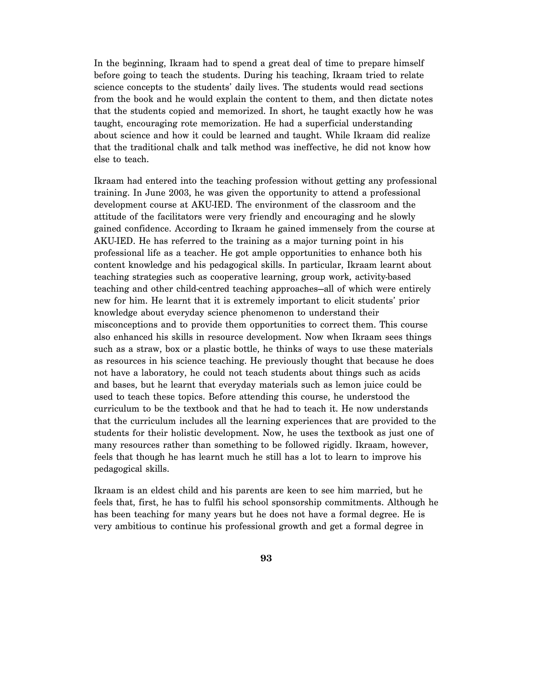In the beginning, Ikraam had to spend a great deal of time to prepare himself before going to teach the students. During his teaching, Ikraam tried to relate science concepts to the students' daily lives. The students would read sections from the book and he would explain the content to them, and then dictate notes that the students copied and memorized. In short, he taught exactly how he was taught, encouraging rote memorization. He had a superficial understanding about science and how it could be learned and taught. While Ikraam did realize that the traditional chalk and talk method was ineffective, he did not know how else to teach.

Ikraam had entered into the teaching profession without getting any professional training. In June 2003, he was given the opportunity to attend a professional development course at AKU-IED. The environment of the classroom and the attitude of the facilitators were very friendly and encouraging and he slowly gained confidence. According to Ikraam he gained immensely from the course at AKU-IED. He has referred to the training as a major turning point in his professional life as a teacher. He got ample opportunities to enhance both his content knowledge and his pedagogical skills. In particular, Ikraam learnt about teaching strategies such as cooperative learning, group work, activity-based teaching and other child-centred teaching approaches—all of which were entirely new for him. He learnt that it is extremely important to elicit students' prior knowledge about everyday science phenomenon to understand their misconceptions and to provide them opportunities to correct them. This course also enhanced his skills in resource development. Now when Ikraam sees things such as a straw, box or a plastic bottle, he thinks of ways to use these materials as resources in his science teaching. He previously thought that because he does not have a laboratory, he could not teach students about things such as acids and bases, but he learnt that everyday materials such as lemon juice could be used to teach these topics. Before attending this course, he understood the curriculum to be the textbook and that he had to teach it. He now understands that the curriculum includes all the learning experiences that are provided to the students for their holistic development. Now, he uses the textbook as just one of many resources rather than something to be followed rigidly. Ikraam, however, feels that though he has learnt much he still has a lot to learn to improve his pedagogical skills.

Ikraam is an eldest child and his parents are keen to see him married, but he feels that, first, he has to fulfil his school sponsorship commitments. Although he has been teaching for many years but he does not have a formal degree. He is very ambitious to continue his professional growth and get a formal degree in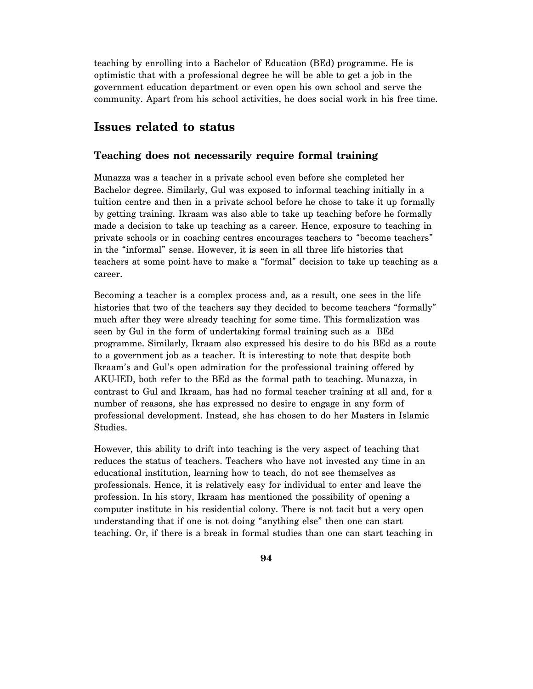teaching by enrolling into a Bachelor of Education (BEd) programme. He is optimistic that with a professional degree he will be able to get a job in the government education department or even open his own school and serve the community. Apart from his school activities, he does social work in his free time.

## **Issues related to status**

#### **Teaching does not necessarily require formal training**

Munazza was a teacher in a private school even before she completed her Bachelor degree. Similarly, Gul was exposed to informal teaching initially in a tuition centre and then in a private school before he chose to take it up formally by getting training. Ikraam was also able to take up teaching before he formally made a decision to take up teaching as a career. Hence, exposure to teaching in private schools or in coaching centres encourages teachers to "become teachers" in the "informal" sense. However, it is seen in all three life histories that teachers at some point have to make a "formal" decision to take up teaching as a career.

Becoming a teacher is a complex process and, as a result, one sees in the life histories that two of the teachers say they decided to become teachers "formally" much after they were already teaching for some time. This formalization was seen by Gul in the form of undertaking formal training such as a BEd programme. Similarly, Ikraam also expressed his desire to do his BEd as a route to a government job as a teacher. It is interesting to note that despite both Ikraam's and Gul's open admiration for the professional training offered by AKU-IED, both refer to the BEd as the formal path to teaching. Munazza, in contrast to Gul and Ikraam, has had no formal teacher training at all and, for a number of reasons, she has expressed no desire to engage in any form of professional development. Instead, she has chosen to do her Masters in Islamic Studies.

However, this ability to drift into teaching is the very aspect of teaching that reduces the status of teachers. Teachers who have not invested any time in an educational institution, learning how to teach, do not see themselves as professionals. Hence, it is relatively easy for individual to enter and leave the profession. In his story, Ikraam has mentioned the possibility of opening a computer institute in his residential colony. There is not tacit but a very open understanding that if one is not doing "anything else" then one can start teaching. Or, if there is a break in formal studies than one can start teaching in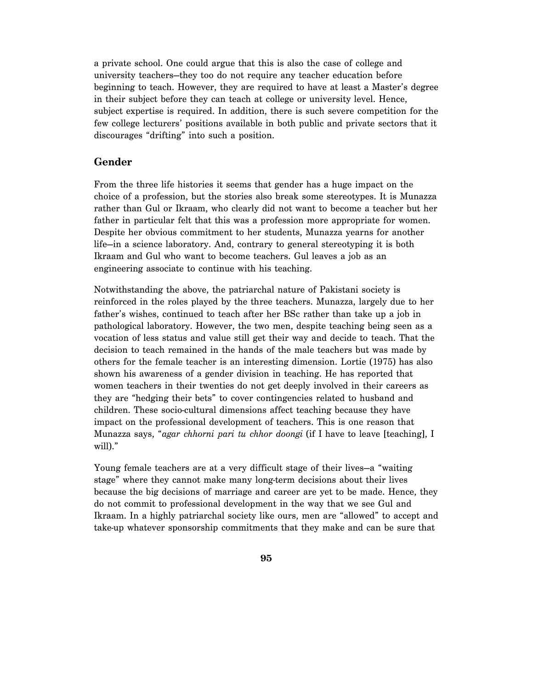a private school. One could argue that this is also the case of college and university teachers—they too do not require any teacher education before beginning to teach. However, they are required to have at least a Master's degree in their subject before they can teach at college or university level. Hence, subject expertise is required. In addition, there is such severe competition for the few college lecturers' positions available in both public and private sectors that it discourages "drifting" into such a position.

#### **Gender**

From the three life histories it seems that gender has a huge impact on the choice of a profession, but the stories also break some stereotypes. It is Munazza rather than Gul or Ikraam, who clearly did not want to become a teacher but her father in particular felt that this was a profession more appropriate for women. Despite her obvious commitment to her students, Munazza yearns for another life—in a science laboratory. And, contrary to general stereotyping it is both Ikraam and Gul who want to become teachers. Gul leaves a job as an engineering associate to continue with his teaching.

Notwithstanding the above, the patriarchal nature of Pakistani society is reinforced in the roles played by the three teachers. Munazza, largely due to her father's wishes, continued to teach after her BSc rather than take up a job in pathological laboratory. However, the two men, despite teaching being seen as a vocation of less status and value still get their way and decide to teach. That the decision to teach remained in the hands of the male teachers but was made by others for the female teacher is an interesting dimension. Lortie (1975) has also shown his awareness of a gender division in teaching. He has reported that women teachers in their twenties do not get deeply involved in their careers as they are "hedging their bets" to cover contingencies related to husband and children. These socio-cultural dimensions affect teaching because they have impact on the professional development of teachers. This is one reason that Munazza says, "*agar chhorni pari tu chhor doongi* (if I have to leave [teaching], I will)."

Young female teachers are at a very difficult stage of their lives—a "waiting stage" where they cannot make many long-term decisions about their lives because the big decisions of marriage and career are yet to be made. Hence, they do not commit to professional development in the way that we see Gul and Ikraam. In a highly patriarchal society like ours, men are "allowed" to accept and take-up whatever sponsorship commitments that they make and can be sure that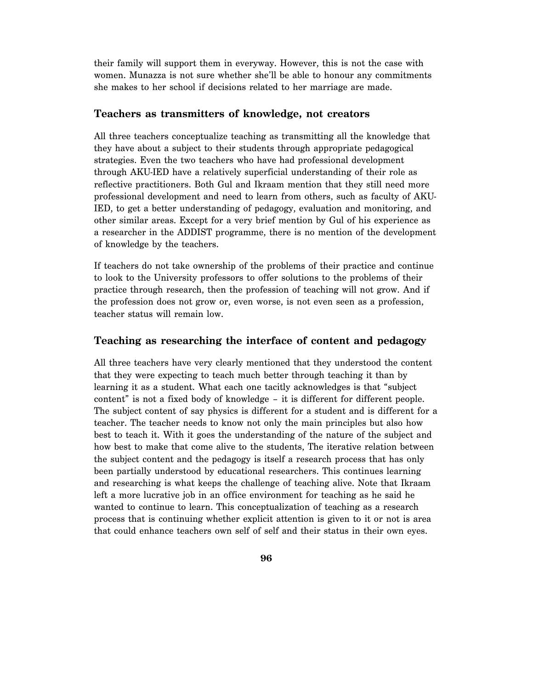their family will support them in everyway. However, this is not the case with women. Munazza is not sure whether she'll be able to honour any commitments she makes to her school if decisions related to her marriage are made.

#### **Teachers as transmitters of knowledge, not creators**

All three teachers conceptualize teaching as transmitting all the knowledge that they have about a subject to their students through appropriate pedagogical strategies. Even the two teachers who have had professional development through AKU-IED have a relatively superficial understanding of their role as reflective practitioners. Both Gul and Ikraam mention that they still need more professional development and need to learn from others, such as faculty of AKU-IED, to get a better understanding of pedagogy, evaluation and monitoring, and other similar areas. Except for a very brief mention by Gul of his experience as a researcher in the ADDIST programme, there is no mention of the development of knowledge by the teachers.

If teachers do not take ownership of the problems of their practice and continue to look to the University professors to offer solutions to the problems of their practice through research, then the profession of teaching will not grow. And if the profession does not grow or, even worse, is not even seen as a profession, teacher status will remain low.

#### **Teaching as researching the interface of content and pedagogy**

All three teachers have very clearly mentioned that they understood the content that they were expecting to teach much better through teaching it than by learning it as a student. What each one tacitly acknowledges is that "subject content" is not a fixed body of knowledge – it is different for different people. The subject content of say physics is different for a student and is different for a teacher. The teacher needs to know not only the main principles but also how best to teach it. With it goes the understanding of the nature of the subject and how best to make that come alive to the students, The iterative relation between the subject content and the pedagogy is itself a research process that has only been partially understood by educational researchers. This continues learning and researching is what keeps the challenge of teaching alive. Note that Ikraam left a more lucrative job in an office environment for teaching as he said he wanted to continue to learn. This conceptualization of teaching as a research process that is continuing whether explicit attention is given to it or not is area that could enhance teachers own self of self and their status in their own eyes.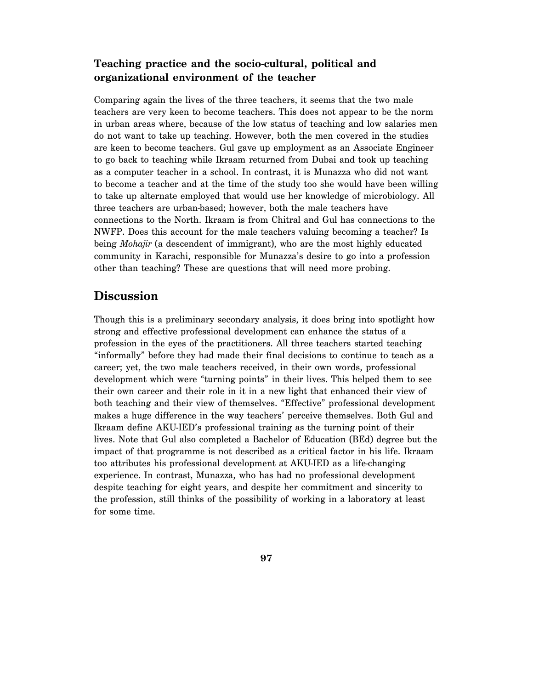## **Teaching practice and the socio-cultural, political and organizational environment of the teacher**

Comparing again the lives of the three teachers, it seems that the two male teachers are very keen to become teachers. This does not appear to be the norm in urban areas where, because of the low status of teaching and low salaries men do not want to take up teaching. However, both the men covered in the studies are keen to become teachers. Gul gave up employment as an Associate Engineer to go back to teaching while Ikraam returned from Dubai and took up teaching as a computer teacher in a school. In contrast, it is Munazza who did not want to become a teacher and at the time of the study too she would have been willing to take up alternate employed that would use her knowledge of microbiology. All three teachers are urban-based; however, both the male teachers have connections to the North. Ikraam is from Chitral and Gul has connections to the NWFP. Does this account for the male teachers valuing becoming a teacher? Is being *Mohajir* (a descendent of immigrant), who are the most highly educated community in Karachi, responsible for Munazza's desire to go into a profession other than teaching? These are questions that will need more probing.

## **Discussion**

Though this is a preliminary secondary analysis, it does bring into spotlight how strong and effective professional development can enhance the status of a profession in the eyes of the practitioners. All three teachers started teaching "informally" before they had made their final decisions to continue to teach as a career; yet, the two male teachers received, in their own words, professional development which were "turning points" in their lives. This helped them to see their own career and their role in it in a new light that enhanced their view of both teaching and their view of themselves. "Effective" professional development makes a huge difference in the way teachers' perceive themselves. Both Gul and Ikraam define AKU-IED's professional training as the turning point of their lives. Note that Gul also completed a Bachelor of Education (BEd) degree but the impact of that programme is not described as a critical factor in his life. Ikraam too attributes his professional development at AKU-IED as a life-changing experience. In contrast, Munazza, who has had no professional development despite teaching for eight years, and despite her commitment and sincerity to the profession, still thinks of the possibility of working in a laboratory at least for some time.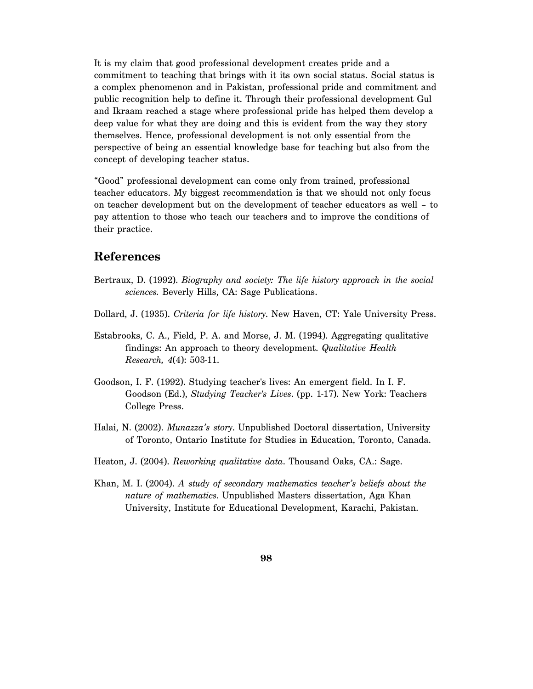It is my claim that good professional development creates pride and a commitment to teaching that brings with it its own social status. Social status is a complex phenomenon and in Pakistan, professional pride and commitment and public recognition help to define it. Through their professional development Gul and Ikraam reached a stage where professional pride has helped them develop a deep value for what they are doing and this is evident from the way they story themselves. Hence, professional development is not only essential from the perspective of being an essential knowledge base for teaching but also from the concept of developing teacher status.

"Good" professional development can come only from trained, professional teacher educators. My biggest recommendation is that we should not only focus on teacher development but on the development of teacher educators as well – to pay attention to those who teach our teachers and to improve the conditions of their practice.

## **References**

- Bertraux, D. (1992). *Biography and society: The life history approach in the social sciences.* Beverly Hills, CA: Sage Publications.
- Dollard, J. (1935). *Criteria for life history*. New Haven, CT: Yale University Press.
- Estabrooks, C. A., Field, P. A. and Morse, J. M. (1994). Aggregating qualitative findings: An approach to theory development. *Qualitative Health Research, 4*(4): 503-11.
- Goodson, I. F. (1992). Studying teacher's lives: An emergent field. In I. F. Goodson (Ed.), *Studying Teacher's Lives*. (pp. 1-17). New York: Teachers College Press.
- Halai, N. (2002). *Munazza's story*. Unpublished Doctoral dissertation, University of Toronto, Ontario Institute for Studies in Education, Toronto, Canada.
- Heaton, J. (2004). *Reworking qualitative data*. Thousand Oaks, CA.: Sage.
- Khan, M. I. (2004). *A study of secondary mathematics teacher's beliefs about the nature of mathematics*. Unpublished Masters dissertation, Aga Khan University, Institute for Educational Development, Karachi, Pakistan.